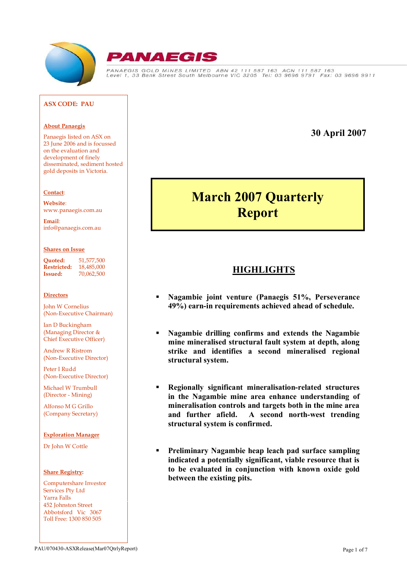



PANAEGIS GOLD MINES LIMITED ABN 42 111 587 163 ACN 111 587 163<br>Level 1, 33 Bank Street South Melbourne VIC 3205 Tel: 03 9696 9791 Fax: 03 9696 9911

#### **ASX CODE: PAU**

#### **About Panaegis**

Panaegis listed on ASX on 23 June 2006 and is focussed on the evaluation and development of finely disseminated, sediment hosted gold deposits in Victoria.

#### **Contact**:

**Website**: <www.panaegis.com.au>

**Email**: [info@panaegis.com.au](mailto:info@panaegis.com.au)

#### **Shares on Issue**

**Quoted:** 51,577,500 **Restricted:** 18,485,000 **Issued:** 70,062,500

#### **Directors**

John W Cornelius (Non-Executive Chairman)

Ian D Buckingham (Managing Director & Chief Executive Officer)

Andrew R Ristrom (Non-Executive Director)

Peter I Rudd (Non-Executive Director)

Michael W Trumbull (Director - Mining)

Alfonso M G Grillo (Company Secretary)

#### **Exploration Manager**

Dr John W Cottle

#### **Share Registry:**

Computershare Investor Services Pty Ltd Yarra Falls 452 Johnston Street Abbotsford Vic 3067 Toll Free: 1300 850 505

# **30 April 2007**

# **March 2007 Quarterly Report**

# **HIGHLIGHTS**

- **Nagambie joint venture (Panaegis 51%, Perseverance 49%) earn-in requirements achieved ahead of schedule.**
- **Nagambie drilling confirms and extends the Nagambie mine mineralised structural fault system at depth, along strike and identifies a second mineralised regional structural system.**
- **Regionally significant mineralisation-related structures in the Nagambie mine area enhance understanding of mineralisation controls and targets both in the mine area and further afield. A second north-west trending structural system is confirmed.**
- **Preliminary Nagambie heap leach pad surface sampling indicated a potentially significant, viable resource that is to be evaluated in conjunction with known oxide gold between the existing pits.**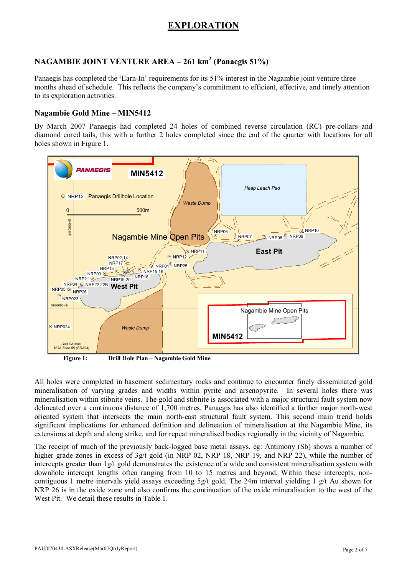# **EXPLORATION**

## **NAGAMBIE JOINT VENTURE AREA – 261 km<sup>2</sup> (Panaegis 51%)**

Panaegis has completed the 'Earn-In' requirements for its 51% interest in the Nagambie joint venture three months ahead of schedule. This reflects the company's commitment to efficient, effective, and timely attention to its exploration activities.

## **Nagambie Gold Mine – MIN5412**

By March 2007 Panaegis had completed 24 holes of combined reverse circulation (RC) pre-collars and diamond cored tails, this with a further 2 holes completed since the end of the quarter with locations for all holes shown in Figure 1.



**Figure 1: Drill Hole Plan – Nagambie Gold Mine**

All holes were completed in basement sedimentary rocks and continue to encounter finely disseminated gold mineralisation of varying grades and widths within pyrite and arsenopyrite. In several holes there was mineralisation within stibnite veins. The gold and stibnite is associated with a major structural fault system now delineated over a continuous distance of 1,700 metres. Panaegis has also identified a further major north-west oriented system that intersects the main north-east structural fault system. This second main trend holds significant implications for enhanced definition and delineation of mineralisation at the Nagambie Mine, its extensions at depth and along strike, and for repeat mineralised bodies regionally in the vicinity of Nagambie.

The receipt of much of the previously back-logged base metal assays, eg: Antimony (Sb) shows a number of higher grade zones in excess of  $3g/t$  gold (in NRP 02, NRP 18, NRP 19, and NRP 22), while the number of intercepts greater than 1g/t gold demonstrates the existence of a wide and consistent mineralisation system with downhole intercept lengths often ranging from 10 to 15 metres and beyond. Within these intercepts, noncontiguous 1 metre intervals yield assays exceeding 5g/t gold. The 24m interval yielding 1 g/t Au shown for NRP 26 is in the oxide zone and also confirms the continuation of the oxide mineralisation to the west of the West Pit. We detail these results in Table 1.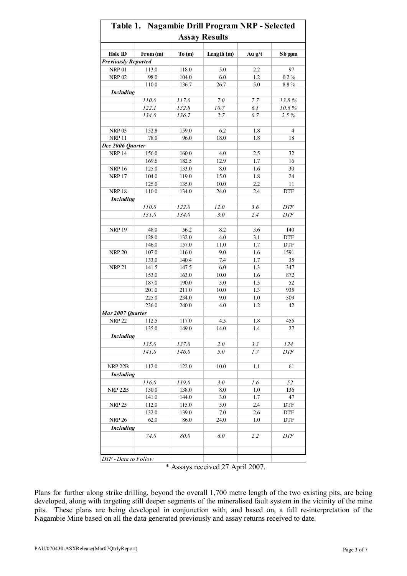|                            |          |       | <b>Assay Results</b> |                |                    |
|----------------------------|----------|-------|----------------------|----------------|--------------------|
| Hole ID                    | From (m) | To(m) | Length (m)           | Au $g/t$       | S <sub>b</sub> ppm |
| <b>Previously Reported</b> |          |       |                      |                |                    |
| <b>NRP 01</b>              | 113.0    | 118.0 | 5.0                  | 2.2            | 97                 |
| <b>NRP 02</b>              | 98.0     | 104.0 | 6.0                  | 1.2            | $0.2\,\%$          |
|                            | 110.0    | 136.7 | 26.7                 | 5.0            | 8.8%               |
| <b>Including</b>           |          |       |                      |                |                    |
|                            | 110.0    | 117.0 | 7.0                  | 7.7            | 13.8%              |
|                            | 122.1    | 132.8 | 10.7                 | 6.1            | 10.6%              |
|                            | 134.0    | 136.7 | 2.7                  | 0.7            | 2.5 %              |
|                            |          |       |                      |                |                    |
| <b>NRP 03</b>              | 152.8    | 159.0 | 6.2                  | 1.8            | 4                  |
| <b>NRP 11</b>              | 78.0     | 96.0  | 18.0                 | 1.8            | 18                 |
| Dec 2006 Quarter           |          |       |                      |                |                    |
| <b>NRP 14</b>              | 156.0    | 160.0 | 4.0                  | 2.5            | 32                 |
|                            | 169.6    | 182.5 | 12.9                 | 1.7            | 16                 |
| <b>NRP 16</b>              | 125.0    | 133.0 | 8.0                  | 1.6            | 30                 |
| <b>NRP 17</b>              | 104.0    | 119.0 | 15.0                 | 1.8            | 24                 |
|                            | 125.0    | 135.0 | 10.0                 | 2.2            | 11                 |
| <b>NRP 18</b>              | 110.0    | 134.0 | 24.0                 | 2.4            | <b>DTF</b>         |
| <b>Including</b>           |          |       |                      |                |                    |
|                            | 110.0    | 122.0 | 12.0                 | 3.6            | <b>DTF</b>         |
|                            | 131.0    | 134.0 | 3.0                  | 2.4            | <b>DTF</b>         |
|                            |          |       |                      |                |                    |
| <b>NRP 19</b>              | 48.0     | 56.2  | 8.2                  | 3.6            | 140                |
|                            | 128.0    | 132.0 | 4.0                  | 3.1            | <b>DTF</b>         |
|                            | 146.0    | 157.0 | 11.0                 | 1.7            | <b>DTF</b>         |
| <b>NRP 20</b>              | 107.0    | 116.0 | 9.0                  | 1.6            | 1591               |
|                            | 133.0    | 140.4 | 7.4                  | 1.7            | 35                 |
| <b>NRP 21</b>              | 141.5    | 147.5 | 6.0                  | 1.3            | 347                |
|                            | 153.0    | 163.0 | 10.0                 | 1.6            | 872                |
|                            | 187.0    | 190.0 | 3.0                  | 1.5            | 52                 |
|                            | 201.0    | 211.0 | 10.0                 | 1.3            | 935                |
|                            | 225.0    | 234.0 | 9.0                  | $1.0\,$        | 309                |
|                            | 236.0    | 240.0 | 4.0                  | 1.2            | 42                 |
|                            |          |       |                      |                |                    |
| Mar 2007 Quarter           | 112.5    |       |                      |                |                    |
| <b>NRP 22</b>              | 135.0    | 117.0 | 4.5<br>$14.0\,$      | 1.8<br>$1.4\,$ | 455<br>27          |
|                            |          | 149.0 |                      |                |                    |
| <b>Including</b>           |          |       |                      |                |                    |
|                            | 135.0    | 137.0 | 2.0                  | 3.3            | 124                |
|                            | 141.0    | 146.0 | 5.0                  | 1.7            | <b>DTF</b>         |
|                            |          |       |                      |                |                    |
| NRP <sub>22B</sub>         | 112.0    | 122.0 | 10.0                 | 1.1            | 61                 |
| <b>Including</b>           |          |       |                      |                |                    |
|                            | 116.0    | 119.0 | 3.0                  | 1.6            | 52                 |
| NRP <sub>22B</sub>         | 130.0    | 138.0 | $8.0\,$              | $1.0\,$        | 136                |
|                            | 141.0    | 144.0 | 3.0                  | 1.7            | 47                 |
| <b>NRP 25</b>              | 112.0    | 115.0 | 3.0                  | 2.4            | <b>DTF</b>         |
|                            | 132.0    | 139.0 | 7.0                  | 2.6            | <b>DTF</b>         |
| <b>NRP 26</b>              | 62.0     | 86.0  | 24.0                 | 1.0            | <b>DTF</b>         |
| <b>Including</b>           |          |       |                      |                |                    |
|                            | 74.0     | 80.0  | 6.0                  | 2.2            | DTF                |
|                            |          |       |                      |                |                    |
|                            |          |       |                      |                |                    |

|  | * Assays received 27 April 2007. |  |  |
|--|----------------------------------|--|--|

Plans for further along strike drilling, beyond the overall 1,700 metre length of the two existing pits, are being developed, along with targeting still deeper segments of the mineralised fault system in the vicinity of the mine pits. These plans are being developed in conjunction with, and based on, a full re-interpretation of the Nagambie Mine based on all the data generated previously and assay returns received to date.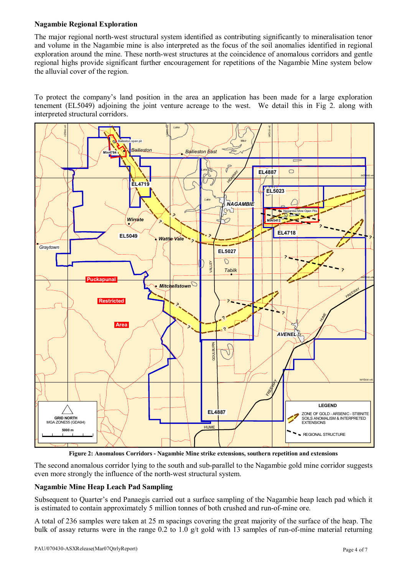## **Nagambie Regional Exploration**

The major regional north-west structural system identified as contributing significantly to mineralisation tenor and volume in the Nagambie mine is also interpreted as the focus of the soil anomalies identified in regional exploration around the mine. These north-west structures at the coincidence of anomalous corridors and gentle regional highs provide significant further encouragement for repetitions of the Nagambie Mine system below the alluvial cover of the region.

To protect the company's land position in the area an application has been made for a large exploration tenement (EL5049) adjoining the joint venture acreage to the west. We detail this in Fig 2. along with interpreted structural corridors.



**Figure 2: Anomalous Corridors - Nagambie Mine strike extensions, southern repetition and extensions**

The second anomalous corridor lying to the south and sub-parallel to the Nagambie gold mine corridor suggests even more strongly the influence of the north-west structural system.

## **Nagambie Mine Heap Leach Pad Sampling**

Subsequent to Quarter's end Panaegis carried out a surface sampling of the Nagambie heap leach pad which it is estimated to contain approximately 5 million tonnes of both crushed and run-of-mine ore.

A total of 236 samples were taken at 25 m spacings covering the great majority of the surface of the heap. The bulk of assay returns were in the range 0.2 to 1.0 g/t gold with 13 samples of run-of-mine material returning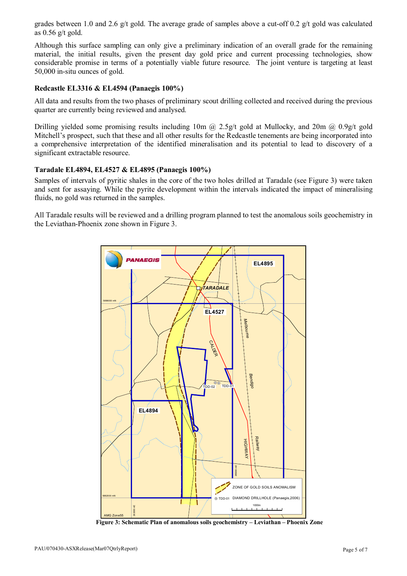grades between 1.0 and 2.6 g/t gold. The average grade of samples above a cut-off 0.2 g/t gold was calculated as 0.56 g/t gold.

Although this surface sampling can only give a preliminary indication of an overall grade for the remaining material, the initial results, given the present day gold price and current processing technologies, show considerable promise in terms of a potentially viable future resource. The joint venture is targeting at least 50,000 in-situ ounces of gold.

#### **Redcastle EL3316 & EL4594 (Panaegis 100%)**

All data and results from the two phases of preliminary scout drilling collected and received during the previous quarter are currently being reviewed and analysed.

Drilling yielded some promising results including 10m @ 2.5g/t gold at Mullocky, and 20m @ 0.9g/t gold Mitchell's prospect, such that these and all other results for the Redcastle tenements are being incorporated into a comprehensive interpretation of the identified mineralisation and its potential to lead to discovery of a significant extractable resource.

#### **Taradale EL4894, EL4527 & EL4895 (Panaegis 100%)**

Samples of intervals of pyritic shales in the core of the two holes drilled at Taradale (see Figure 3) were taken and sent for assaying. While the pyrite development within the intervals indicated the impact of mineralising fluids, no gold was returned in the samples.

All Taradale results will be reviewed and a drilling program planned to test the anomalous soils geochemistry in the Leviathan-Phoenix zone shown in Figure 3.



**Figure 3: Schematic Plan of anomalous soils geochemistry – Leviathan – Phoenix Zone**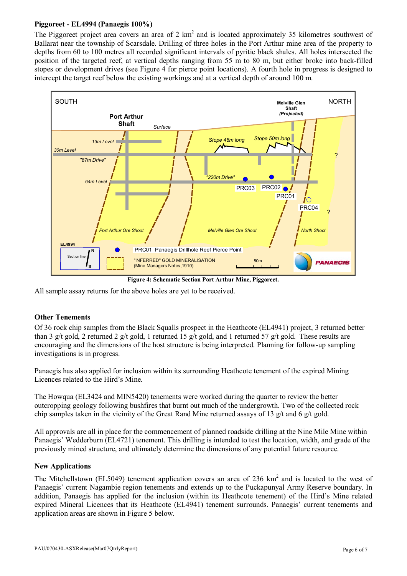## **Piggoreet - EL4994 (Panaegis 100%)**

The Piggoreet project area covers an area of 2  $km<sup>2</sup>$  and is located approximately 35 kilometres southwest of Ballarat near the township of Scarsdale. Drilling of three holes in the Port Arthur mine area of the property to depths from 60 to 100 metres all recorded significant intervals of pyritic black shales. All holes intersected the position of the targeted reef, at vertical depths ranging from 55 m to 80 m, but either broke into back-filled stopes or development drives (see Figure 4 for pierce point locations). A fourth hole in progress is designed to intercept the target reef below the existing workings and at a vertical depth of around 100 m.



**Figure 4: Schematic Section Port Arthur Mine, Piggoreet.**

All sample assay returns for the above holes are yet to be received.

## **Other Tenements**

Of 36 rock chip samples from the Black Squalls prospect in the Heathcote (EL4941) project, 3 returned better than 3 g/t gold, 2 returned 2 g/t gold, 1 returned 15 g/t gold, and 1 returned 57 g/t gold. These results are encouraging and the dimensions of the host structure is being interpreted. Planning for follow-up sampling investigations is in progress.

Panaegis has also applied for inclusion within its surrounding Heathcote tenement of the expired Mining Licences related to the Hird's Mine.

The Howqua (EL3424 and MIN5420) tenements were worked during the quarter to review the better outcropping geology following bushfires that burnt out much of the undergrowth. Two of the collected rock chip samples taken in the vicinity of the Great Rand Mine returned assays of 13 g/t and 6 g/t gold.

All approvals are all in place for the commencement of planned roadside drilling at the Nine Mile Mine within Panaegis' Wedderburn (EL4721) tenement. This drilling is intended to test the location, width, and grade of the previously mined structure, and ultimately determine the dimensions of any potential future resource.

## **New Applications**

The Mitchellstown (EL5049) tenement application covers an area of 236  $km<sup>2</sup>$  and is located to the west of Panaegis' current Nagambie region tenements and extends up to the Puckapunyal Army Reserve boundary. In addition, Panaegis has applied for the inclusion (within its Heathcote tenement) of the Hird's Mine related expired Mineral Licences that its Heathcote (EL4941) tenement surrounds. Panaegis' current tenements and application areas are shown in Figure 5 below.